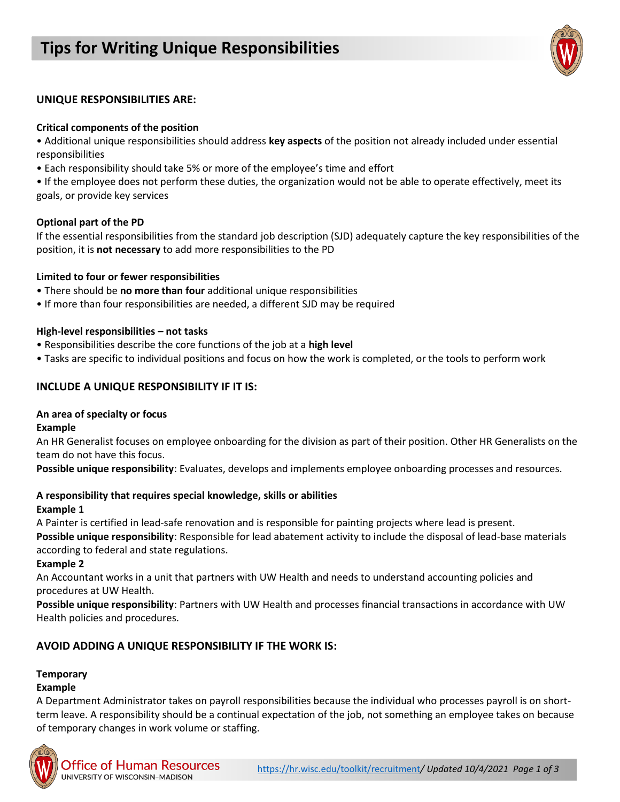# **Tips for Writing Unique Responsibilities**



### **UNIQUE RESPONSIBILITIES ARE:**

#### **Critical components of the position**

• Additional unique responsibilities should address **key aspects** of the position not already included under essential responsibilities

• Each responsibility should take 5% or more of the employee's time and effort

• If the employee does not perform these duties, the organization would not be able to operate effectively, meet its goals, or provide key services

#### **Optional part of the PD**

If the essential responsibilities from the standard job description (SJD) adequately capture the key responsibilities of the position, it is **not necessary** to add more responsibilities to the PD

#### **Limited to four or fewer responsibilities**

- There should be **no more than four** additional unique responsibilities
- If more than four responsibilities are needed, a different SJD may be required

#### **High-level responsibilities – not tasks**

- Responsibilities describe the core functions of the job at a **high level**
- Tasks are specific to individual positions and focus on how the work is completed, or the tools to perform work

#### **INCLUDE A UNIQUE RESPONSIBILITY IF IT IS:**

#### **An area of specialty or focus**

**Example** 

An HR Generalist focuses on employee onboarding for the division as part of their position. Other HR Generalists on the team do not have this focus.

**Possible unique responsibility**: Evaluates, develops and implements employee onboarding processes and resources.

#### **A responsibility that requires special knowledge, skills or abilities**

#### **Example 1**

A Painter is certified in lead-safe renovation and is responsible for painting projects where lead is present.

**Possible unique responsibility**: Responsible for lead abatement activity to include the disposal of lead-base materials according to federal and state regulations.

**Example 2** 

An Accountant works in a unit that partners with UW Health and needs to understand accounting policies and procedures at UW Health.

**Possible unique responsibility**: Partners with UW Health and processes financial transactions in accordance with UW Health policies and procedures.

### **AVOID ADDING A UNIQUE RESPONSIBILITY IF THE WORK IS:**

#### **Temporary**

#### **Example**

A Department Administrator takes on payroll responsibilities because the individual who processes payroll is on shortterm leave. A responsibility should be a continual expectation of the job, not something an employee takes on because of temporary changes in work volume or staffing.

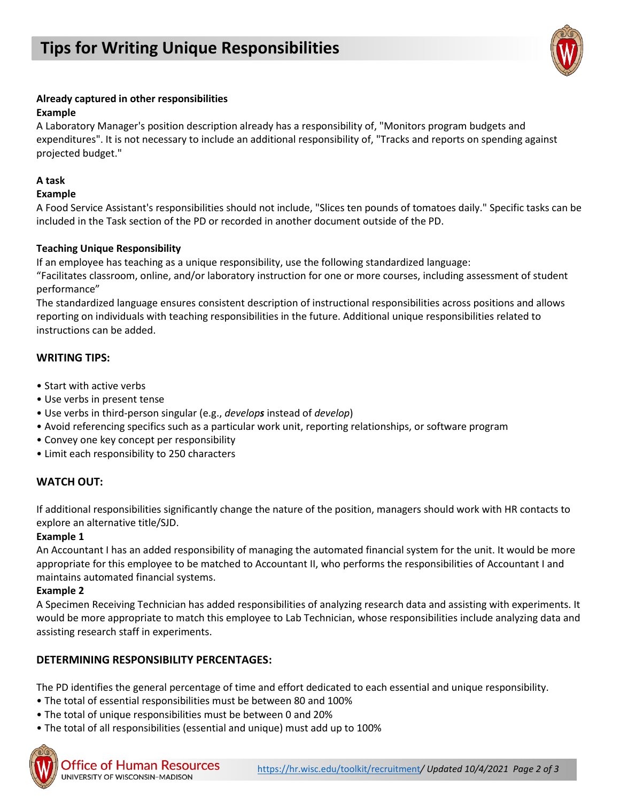

## **Already captured in other responsibilities**

## **Example**

A Laboratory Manager's position description already has a responsibility of, "Monitors program budgets and expenditures". It is not necessary to include an additional responsibility of, "Tracks and reports on spending against projected budget."

## **A task**

## **Example**

A Food Service Assistant's responsibilities should not include, "Slices ten pounds of tomatoes daily." Specific tasks can be included in the Task section of the PD or recorded in another document outside of the PD.

## **Teaching Unique Responsibility**

If an employee has teaching as a unique responsibility, use the following standardized language:

"Facilitates classroom, online, and/or laboratory instruction for one or more courses, including assessment of student performance"

The standardized language ensures consistent description of instructional responsibilities across positions and allows reporting on individuals with teaching responsibilities in the future. Additional unique responsibilities related to instructions can be added.

## **WRITING TIPS:**

- Start with active verbs
- Use verbs in present tense
- Use verbs in third-person singular (e.g., *develops* instead of *develop*)
- Avoid referencing specifics such as a particular work unit, reporting relationships, or software program
- Convey one key concept per responsibility
- Limit each responsibility to 250 characters

# **WATCH OUT:**

If additional responsibilities significantly change the nature of the position, managers should work with HR contacts to explore an alternative title/SJD.

### **Example 1**

An Accountant I has an added responsibility of managing the automated financial system for the unit. It would be more appropriate for this employee to be matched to Accountant II, who performs the responsibilities of Accountant I and maintains automated financial systems.

### **Example 2**

A Specimen Receiving Technician has added responsibilities of analyzing research data and assisting with experiments. It would be more appropriate to match this employee to Lab Technician, whose responsibilities include analyzing data and assisting research staff in experiments.

# **DETERMINING RESPONSIBILITY PERCENTAGES:**

The PD identifies the general percentage of time and effort dedicated to each essential and unique responsibility.

- The total of essential responsibilities must be between 80 and 100%
- The total of unique responsibilities must be between 0 and 20%
- The total of all responsibilities (essential and unique) must add up to 100%